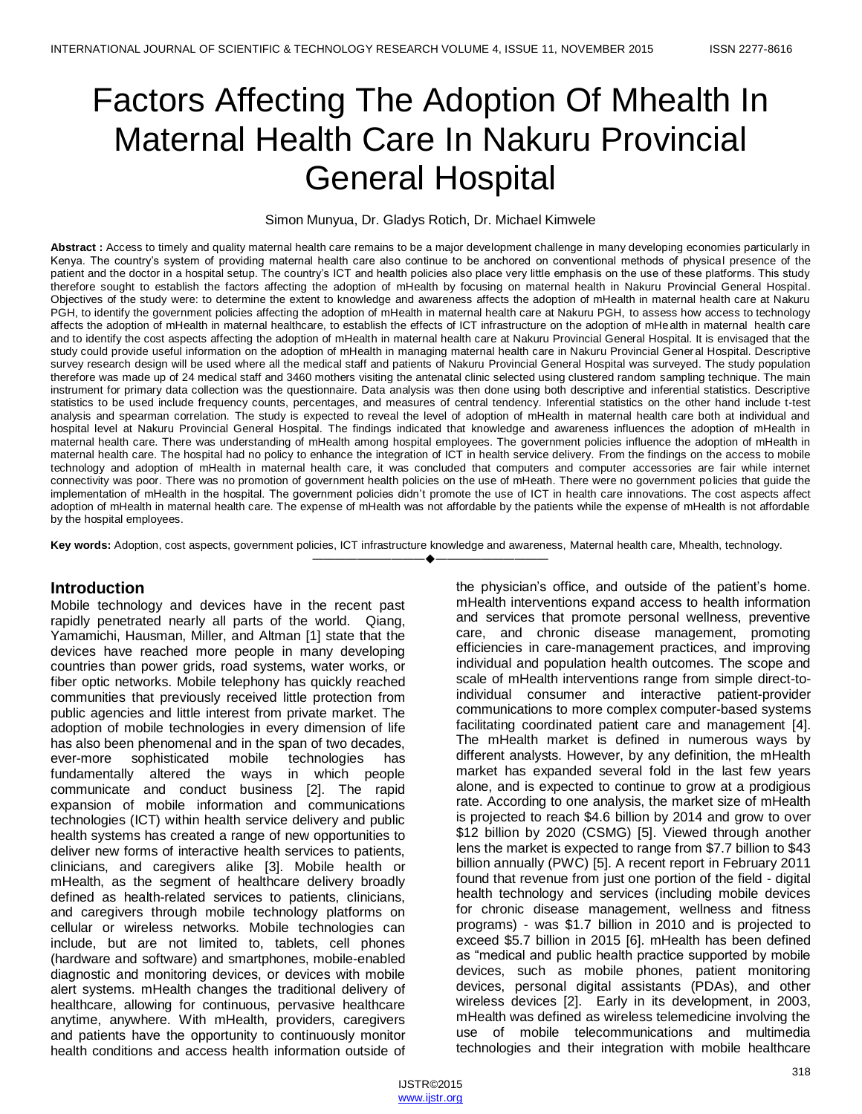# Factors Affecting The Adoption Of Mhealth In Maternal Health Care In Nakuru Provincial General Hospital

#### Simon Munyua, Dr. Gladys Rotich, Dr. Michael Kimwele

**Abstract :** Access to timely and quality maternal health care remains to be a major development challenge in many developing economies particularly in Kenya. The country's system of providing maternal health care also continue to be anchored on conventional methods of physical presence of the patient and the doctor in a hospital setup. The country's ICT and health policies also place very little emphasis on the use of these platforms. This study therefore sought to establish the factors affecting the adoption of mHealth by focusing on maternal health in Nakuru Provincial General Hospital. Objectives of the study were: to determine the extent to knowledge and awareness affects the adoption of mHealth in maternal health care at Nakuru PGH, to identify the government policies affecting the adoption of mHealth in maternal health care at Nakuru PGH, to assess how access to technology affects the adoption of mHealth in maternal healthcare, to establish the effects of ICT infrastructure on the adoption of mHealth in maternal health care and to identify the cost aspects affecting the adoption of mHealth in maternal health care at Nakuru Provincial General Hospital. It is envisaged that the study could provide useful information on the adoption of mHealth in managing maternal health care in Nakuru Provincial General Hospital. Descriptive survey research design will be used where all the medical staff and patients of Nakuru Provincial General Hospital was surveyed. The study population therefore was made up of 24 medical staff and 3460 mothers visiting the antenatal clinic selected using clustered random sampling technique. The main instrument for primary data collection was the questionnaire. Data analysis was then done using both descriptive and inferential statistics. Descriptive statistics to be used include frequency counts, percentages, and measures of central tendency. Inferential statistics on the other hand include t-test analysis and spearman correlation. The study is expected to reveal the level of adoption of mHealth in maternal health care both at individual and hospital level at Nakuru Provincial General Hospital. The findings indicated that knowledge and awareness influences the adoption of mHealth in maternal health care. There was understanding of mHealth among hospital employees. The government policies influence the adoption of mHealth in maternal health care. The hospital had no policy to enhance the integration of ICT in health service delivery. From the findings on the access to mobile technology and adoption of mHealth in maternal health care, it was concluded that computers and computer accessories are fair while internet connectivity was poor. There was no promotion of government health policies on the use of mHeath. There were no government policies that guide the implementation of mHealth in the hospital. The government policies didn't promote the use of ICT in health care innovations. The cost aspects affect adoption of mHealth in maternal health care. The expense of mHealth was not affordable by the patients while the expense of mHealth is not affordable by the hospital employees.

**Key words:** Adoption, cost aspects, government policies, ICT infrastructure knowledge and awareness, Maternal health care, Mhealth, technology.

————————————————————

## **Introduction**

Mobile technology and devices have in the recent past rapidly penetrated nearly all parts of the world. Qiang, Yamamichi, Hausman, Miller, and Altman [1] state that the devices have reached more people in many developing countries than power grids, road systems, water works, or fiber optic networks. Mobile telephony has quickly reached communities that previously received little protection from public agencies and little interest from private market. The adoption of mobile technologies in every dimension of life has also been phenomenal and in the span of two decades, ever-more sophisticated mobile technologies has fundamentally altered the ways in which people communicate and conduct business [2]. The rapid expansion of mobile information and communications technologies (ICT) within health service delivery and public health systems has created a range of new opportunities to deliver new forms of interactive health services to patients, clinicians, and caregivers alike [3]. Mobile health or mHealth, as the segment of healthcare delivery broadly defined as health-related services to patients, clinicians, and caregivers through mobile technology platforms on cellular or wireless networks. Mobile technologies can include, but are not limited to, tablets, cell phones (hardware and software) and smartphones, mobile-enabled diagnostic and monitoring devices, or devices with mobile alert systems. mHealth changes the traditional delivery of healthcare, allowing for continuous, pervasive healthcare anytime, anywhere. With mHealth, providers, caregivers and patients have the opportunity to continuously monitor health conditions and access health information outside of the physician's office, and outside of the patient's home. mHealth interventions expand access to health information and services that promote personal wellness, preventive care, and chronic disease management, promoting efficiencies in care-management practices, and improving individual and population health outcomes. The scope and scale of mHealth interventions range from simple direct-toindividual consumer and interactive patient-provider communications to more complex computer-based systems facilitating coordinated patient care and management [4]. The mHealth market is defined in numerous ways by different analysts. However, by any definition, the mHealth market has expanded several fold in the last few years alone, and is expected to continue to grow at a prodigious rate. According to one analysis, the market size of mHealth is projected to reach \$4.6 billion by 2014 and grow to over \$12 billion by 2020 (CSMG) [5]. Viewed through another lens the market is expected to range from \$7.7 billion to \$43 billion annually (PWC) [5]. A recent report in February 2011 found that revenue from just one portion of the field - digital health technology and services (including mobile devices for chronic disease management, wellness and fitness programs) - was \$1.7 billion in 2010 and is projected to exceed \$5.7 billion in 2015 [6]. mHealth has been defined as "medical and public health practice supported by mobile devices, such as mobile phones, patient monitoring devices, personal digital assistants (PDAs), and other wireless devices [2]. Early in its development, in 2003, mHealth was defined as wireless telemedicine involving the use of mobile telecommunications and multimedia technologies and their integration with mobile healthcare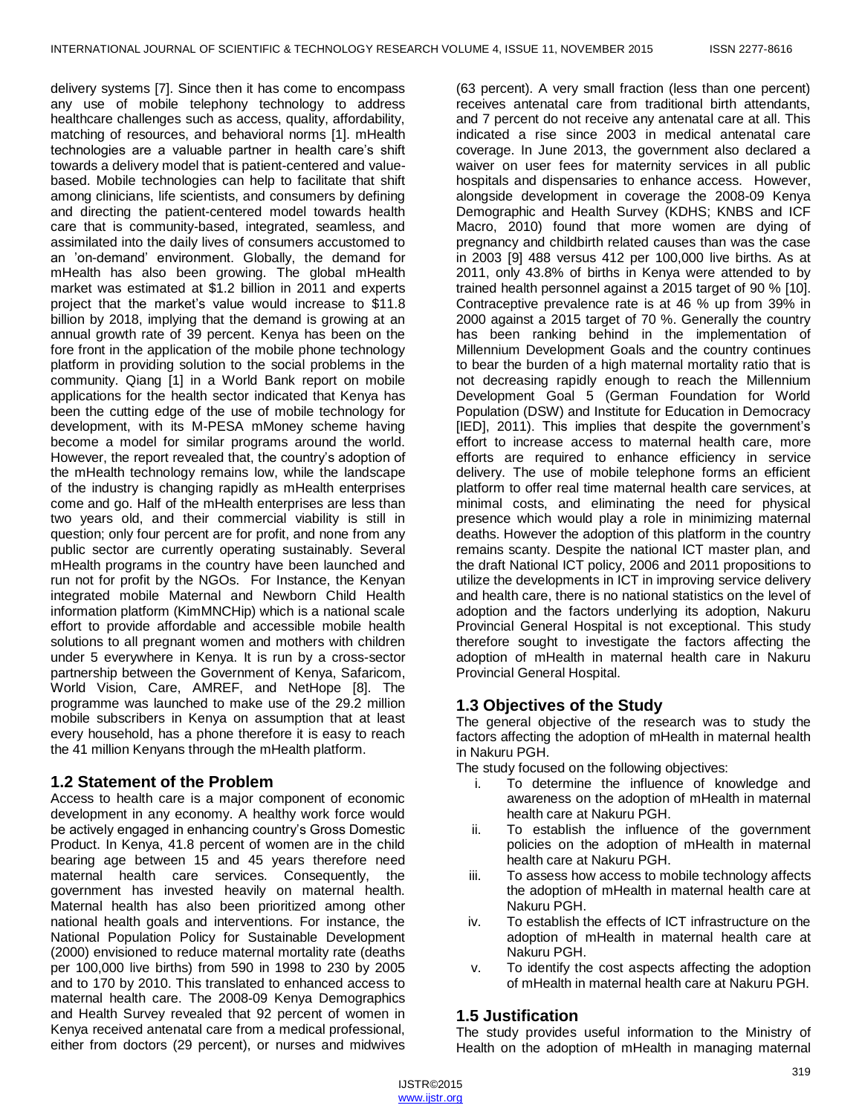delivery systems [7]. Since then it has come to encompass any use of mobile telephony technology to address healthcare challenges such as access, quality, affordability, matching of resources, and behavioral norms [1]. mHealth technologies are a valuable partner in health care's shift towards a delivery model that is patient-centered and valuebased. Mobile technologies can help to facilitate that shift among clinicians, life scientists, and consumers by defining and directing the patient-centered model towards health care that is community-based, integrated, seamless, and assimilated into the daily lives of consumers accustomed to an 'on-demand' environment. Globally, the demand for mHealth has also been growing. The global mHealth market was estimated at \$1.2 billion in 2011 and experts project that the market's value would increase to \$11.8 billion by 2018, implying that the demand is growing at an annual growth rate of 39 percent. Kenya has been on the fore front in the application of the mobile phone technology platform in providing solution to the social problems in the community. Qiang [1] in a World Bank report on mobile applications for the health sector indicated that Kenya has been the cutting edge of the use of mobile technology for development, with its M-PESA mMoney scheme having become a model for similar programs around the world. However, the report revealed that, the country's adoption of the mHealth technology remains low, while the landscape of the industry is changing rapidly as mHealth enterprises come and go. Half of the mHealth enterprises are less than two years old, and their commercial viability is still in question; only four percent are for profit, and none from any public sector are currently operating sustainably. Several mHealth programs in the country have been launched and run not for profit by the NGOs. For Instance, the Kenyan integrated mobile Maternal and Newborn Child Health information platform (KimMNCHip) which is a national scale effort to provide affordable and accessible mobile health solutions to all pregnant women and mothers with children under 5 everywhere in Kenya. It is run by a cross-sector partnership between the Government of Kenya, Safaricom, World Vision, Care, AMREF, and NetHope [8]. The programme was launched to make use of the 29.2 million mobile subscribers in Kenya on assumption that at least every household, has a phone therefore it is easy to reach the 41 million Kenyans through the mHealth platform.

# **1.2 Statement of the Problem**

Access to health care is a major component of economic development in any economy. A healthy work force would be actively engaged in enhancing country's Gross Domestic Product. In Kenya, 41.8 percent of women are in the child bearing age between 15 and 45 years therefore need maternal health care services. Consequently, the government has invested heavily on maternal health. Maternal health has also been prioritized among other national health goals and interventions. For instance, the National Population Policy for Sustainable Development (2000) envisioned to reduce maternal mortality rate (deaths per 100,000 live births) from 590 in 1998 to 230 by 2005 and to 170 by 2010. This translated to enhanced access to maternal health care. The 2008-09 Kenya Demographics and Health Survey revealed that 92 percent of women in Kenya received antenatal care from a medical professional, either from doctors (29 percent), or nurses and midwives

(63 percent). A very small fraction (less than one percent) receives antenatal care from traditional birth attendants, and 7 percent do not receive any antenatal care at all. This indicated a rise since 2003 in medical antenatal care coverage. In June 2013, the government also declared a waiver on user fees for maternity services in all public hospitals and dispensaries to enhance access. However, alongside development in coverage the 2008-09 Kenya Demographic and Health Survey (KDHS; KNBS and ICF Macro, 2010) found that more women are dying of pregnancy and childbirth related causes than was the case in 2003 [9] 488 versus 412 per 100,000 live births. As at 2011, only 43.8% of births in Kenya were attended to by trained health personnel against a 2015 target of 90 % [10]. Contraceptive prevalence rate is at 46 % up from 39% in 2000 against a 2015 target of 70 %. Generally the country has been ranking behind in the implementation of Millennium Development Goals and the country continues to bear the burden of a high maternal mortality ratio that is not decreasing rapidly enough to reach the Millennium Development Goal 5 (German Foundation for World Population (DSW) and Institute for Education in Democracy [IED], 2011). This implies that despite the government's effort to increase access to maternal health care, more efforts are required to enhance efficiency in service delivery. The use of mobile telephone forms an efficient platform to offer real time maternal health care services, at minimal costs, and eliminating the need for physical presence which would play a role in minimizing maternal deaths. However the adoption of this platform in the country remains scanty. Despite the national ICT master plan, and the draft National ICT policy, 2006 and 2011 propositions to utilize the developments in ICT in improving service delivery and health care, there is no national statistics on the level of adoption and the factors underlying its adoption, Nakuru Provincial General Hospital is not exceptional. This study therefore sought to investigate the factors affecting the adoption of mHealth in maternal health care in Nakuru Provincial General Hospital.

# **1.3 Objectives of the Study**

The general objective of the research was to study the factors affecting the adoption of mHealth in maternal health in Nakuru PGH.

The study focused on the following objectives:

- i. To determine the influence of knowledge and awareness on the adoption of mHealth in maternal health care at Nakuru PGH.
- ii. To establish the influence of the government policies on the adoption of mHealth in maternal health care at Nakuru PGH.
- iii. To assess how access to mobile technology affects the adoption of mHealth in maternal health care at Nakuru PGH.
- iv. To establish the effects of ICT infrastructure on the adoption of mHealth in maternal health care at Nakuru PGH.
- v. To identify the cost aspects affecting the adoption of mHealth in maternal health care at Nakuru PGH.

# **1.5 Justification**

The study provides useful information to the Ministry of Health on the adoption of mHealth in managing maternal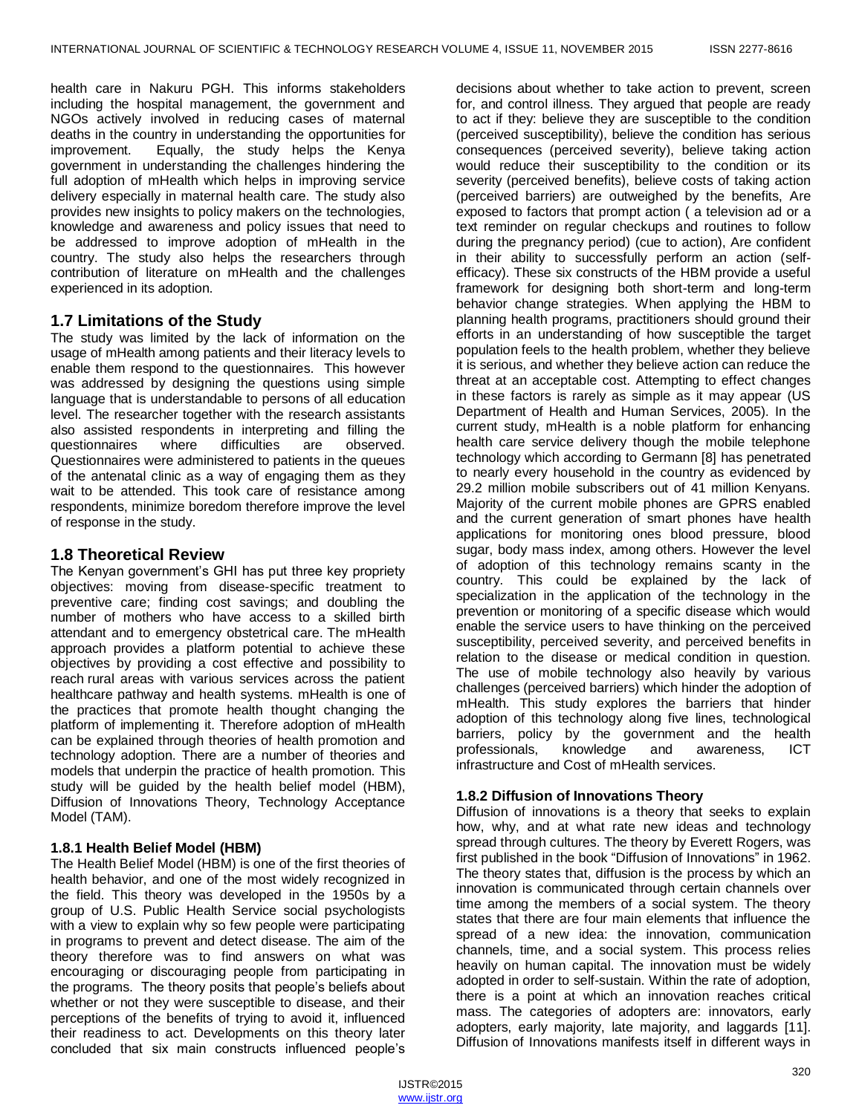health care in Nakuru PGH. This informs stakeholders including the hospital management, the government and NGOs actively involved in reducing cases of maternal deaths in the country in understanding the opportunities for improvement. Equally, the study helps the Kenya government in understanding the challenges hindering the full adoption of mHealth which helps in improving service delivery especially in maternal health care. The study also provides new insights to policy makers on the technologies, knowledge and awareness and policy issues that need to be addressed to improve adoption of mHealth in the country. The study also helps the researchers through contribution of literature on mHealth and the challenges experienced in its adoption.

## **1.7 Limitations of the Study**

The study was limited by the lack of information on the usage of mHealth among patients and their literacy levels to enable them respond to the questionnaires. This however was addressed by designing the questions using simple language that is understandable to persons of all education level. The researcher together with the research assistants also assisted respondents in interpreting and filling the questionnaires where difficulties are observed. Questionnaires were administered to patients in the queues of the antenatal clinic as a way of engaging them as they wait to be attended. This took care of resistance among respondents, minimize boredom therefore improve the level of response in the study.

## **1.8 Theoretical Review**

The Kenyan government's GHI has put three key propriety objectives: moving from disease-specific treatment to preventive care; finding cost savings; and doubling the number of mothers who have access to a skilled birth attendant and to emergency obstetrical care. The mHealth approach provides a platform potential to achieve these objectives by providing a cost effective and possibility to reach rural areas with various services across the patient healthcare pathway and health systems. mHealth is one of the practices that promote health thought changing the platform of implementing it. Therefore adoption of mHealth can be explained through theories of health promotion and technology adoption. There are a number of theories and models that underpin the practice of health promotion. This study will be guided by the health belief model (HBM), Diffusion of Innovations Theory, Technology Acceptance Model (TAM).

## **1.8.1 Health Belief Model (HBM)**

The Health Belief Model (HBM) is one of the first theories of health behavior, and one of the most widely recognized in the field. This theory was developed in the 1950s by a group of U.S. Public Health Service social psychologists with a view to explain why so few people were participating in programs to prevent and detect disease. The aim of the theory therefore was to find answers on what was encouraging or discouraging people from participating in the programs. The theory posits that people's beliefs about whether or not they were susceptible to disease, and their perceptions of the benefits of trying to avoid it, influenced their readiness to act. Developments on this theory later concluded that six main constructs influenced people's

decisions about whether to take action to prevent, screen for, and control illness. They argued that people are ready to act if they: believe they are susceptible to the condition (perceived susceptibility), believe the condition has serious consequences (perceived severity), believe taking action would reduce their susceptibility to the condition or its severity (perceived benefits), believe costs of taking action (perceived barriers) are outweighed by the benefits, Are exposed to factors that prompt action ( a television ad or a text reminder on regular checkups and routines to follow during the pregnancy period) (cue to action), Are confident in their ability to successfully perform an action (selfefficacy). These six constructs of the HBM provide a useful framework for designing both short-term and long-term behavior change strategies. When applying the HBM to planning health programs, practitioners should ground their efforts in an understanding of how susceptible the target population feels to the health problem, whether they believe it is serious, and whether they believe action can reduce the threat at an acceptable cost. Attempting to effect changes in these factors is rarely as simple as it may appear (US Department of Health and Human Services, 2005). In the current study, mHealth is a noble platform for enhancing health care service delivery though the mobile telephone technology which according to Germann [8] has penetrated to nearly every household in the country as evidenced by 29.2 million mobile subscribers out of 41 million Kenyans. Majority of the current mobile phones are GPRS enabled and the current generation of smart phones have health applications for monitoring ones blood pressure, blood sugar, body mass index, among others. However the level of adoption of this technology remains scanty in the country. This could be explained by the lack of specialization in the application of the technology in the prevention or monitoring of a specific disease which would enable the service users to have thinking on the perceived susceptibility, perceived severity, and perceived benefits in relation to the disease or medical condition in question. The use of mobile technology also heavily by various challenges (perceived barriers) which hinder the adoption of mHealth. This study explores the barriers that hinder adoption of this technology along five lines, technological barriers, policy by the government and the health professionals, knowledge and awareness, ICT infrastructure and Cost of mHealth services.

## **1.8.2 Diffusion of Innovations Theory**

Diffusion of innovations is a theory that seeks to explain how, why, and at what rate new [ideas](http://en.wikipedia.org/wiki/Idea) and [technology](http://en.wikipedia.org/wiki/Technology) spread throug[h cultures.](http://en.wikipedia.org/wiki/Culture) The theory by [Everett Rogers,](http://en.wikipedia.org/wiki/Everett_Rogers) was first published in the book "Diffusion of Innovations" in 1962. The theory states that, diffusion is the process by which an [innovation](http://en.wikipedia.org/wiki/Innovation) is communicated through certain channels over time among the members of a social system. The theory states that there are four main elements that influence the spread of a new idea: the innovation, communication channels, time, and a social system. This process relies heavily on [human capital.](http://en.wikipedia.org/wiki/Human_capital) The innovation must be widely adopted in order to self-sustain. Within the rate of adoption, there is a point at which an innovation reaches [critical](http://en.wikipedia.org/wiki/Critical_mass_%28sociodynamics%29)  [mass.](http://en.wikipedia.org/wiki/Critical_mass_%28sociodynamics%29) The categories of adopters are: innovators, [early](http://en.wikipedia.org/wiki/Early_adopters)  [adopters,](http://en.wikipedia.org/wiki/Early_adopters) early majority, late majority, and laggards [11]. Diffusion of Innovations manifests itself in different ways in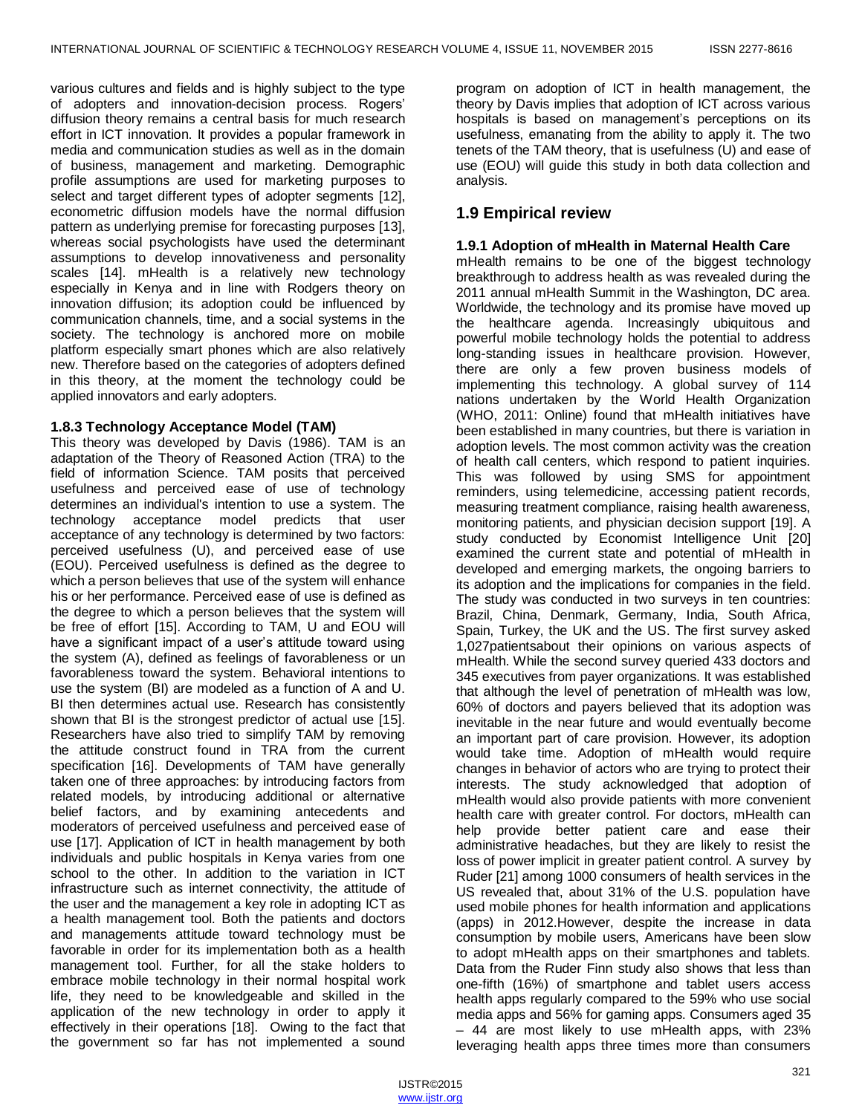various cultures and fields and is highly subject to the type of adopters and innovation-decision process. Rogers' diffusion theory remains a central basis for much research effort in ICT innovation. It provides a popular framework in media and communication studies as well as in the domain of business, management and marketing. Demographic profile assumptions are used for marketing purposes to select and target different types of adopter segments [12], econometric diffusion models have the normal diffusion pattern as underlying premise for forecasting purposes [13], whereas social psychologists have used the determinant assumptions to develop innovativeness and personality scales [14]. mHealth is a relatively new technology especially in Kenya and in line with Rodgers theory on innovation diffusion; its adoption could be influenced by communication channels, time, and a social systems in the society. The technology is anchored more on mobile platform especially smart phones which are also relatively new. Therefore based on the categories of adopters defined in this theory, at the moment the technology could be applied innovators and [early adopters.](http://en.wikipedia.org/wiki/Early_adopters)

#### **1.8.3 Technology Acceptance Model (TAM)**

This theory was developed by Davis (1986). TAM is an adaptation of the Theory of Reasoned Action (TRA) to the field of information Science. TAM posits that perceived usefulness and perceived ease of use of technology determines an individual's intention to use a system. The technology acceptance model predicts that user acceptance of any technology is determined by two factors: perceived usefulness (U), and perceived ease of use (EOU). Perceived usefulness is defined as the degree to which a person believes that use of the system will enhance his or her performance. Perceived ease of use is defined as the degree to which a person believes that the system will be free of effort [15]. According to TAM, U and EOU will have a significant impact of a user's attitude toward using the system (A), defined as feelings of favorableness or un favorableness toward the system. Behavioral intentions to use the system (BI) are modeled as a function of A and U. BI then determines actual use. Research has consistently shown that BI is the strongest predictor of actual use [15]. Researchers have also tried to simplify TAM by removing the attitude construct found in TRA from the current specification [16]. Developments of TAM have generally taken one of three approaches: by introducing factors from related models, by introducing additional or alternative belief factors, and by examining antecedents and moderators of perceived usefulness and perceived ease of use [17]. Application of ICT in health management by both individuals and public hospitals in Kenya varies from one school to the other. In addition to the variation in ICT infrastructure such as internet connectivity, the attitude of the user and the management a key role in adopting ICT as a health management tool. Both the patients and doctors and managements attitude toward technology must be favorable in order for its implementation both as a health management tool. Further, for all the stake holders to embrace mobile technology in their normal hospital work life, they need to be knowledgeable and skilled in the application of the new technology in order to apply it effectively in their operations [18]. Owing to the fact that the government so far has not implemented a sound

program on adoption of ICT in health management, the theory by Davis implies that adoption of ICT across various hospitals is based on management's perceptions on its usefulness, emanating from the ability to apply it. The two tenets of the TAM theory, that is usefulness (U) and ease of use (EOU) will guide this study in both data collection and analysis.

## **1.9 Empirical review**

#### **1.9.1 Adoption of mHealth in Maternal Health Care**

mHealth remains to be one of the biggest technology breakthrough to address health as was revealed during the 2011 annual mHealth Summit in the Washington, DC area. Worldwide, the technology and its promise have moved up the healthcare agenda. Increasingly ubiquitous and powerful mobile technology holds the potential to address long-standing issues in healthcare provision. However, there are only a few proven business models of implementing this technology. A global survey of 114 nations undertaken by the World Health Organization (WHO, 2011: Online) found that mHealth initiatives have been established in many countries, but there is variation in adoption levels. The most common activity was the creation of health call centers, which respond to patient inquiries. This was followed by using SMS for appointment reminders, using telemedicine, accessing patient records, measuring treatment compliance, raising health awareness, monitoring patients, and physician decision support [19]. A study conducted by Economist Intelligence Unit [20] examined the current state and potential of mHealth in developed and emerging markets, the ongoing barriers to its adoption and the implications for companies in the field. The study was conducted in two surveys in ten countries: Brazil, China, Denmark, Germany, India, South Africa, Spain, Turkey, the UK and the US. The first survey asked 1,027patientsabout their opinions on various aspects of mHealth. While the second survey queried 433 doctors and 345 executives from payer organizations. It was established that although the level of penetration of mHealth was low, 60% of doctors and payers believed that its adoption was inevitable in the near future and would eventually become an important part of care provision. However, its adoption would take time. Adoption of mHealth would require changes in behavior of actors who are trying to protect their interests. The study acknowledged that adoption of mHealth would also provide patients with more convenient health care with greater control. For doctors, mHealth can help provide better patient care and ease their administrative headaches, but they are likely to resist the loss of power implicit in greater patient control. A survey by Ruder [21] among 1000 consumers of health services in the US revealed that, about 31% of the U.S. population have used mobile phones for health information and applications (apps) in 2012.However, despite the increase in data consumption by mobile users, Americans have been slow to adopt mHealth apps on their smartphones and tablets. Data from the Ruder Finn study also shows that less than one-fifth (16%) of smartphone and tablet users access health apps regularly compared to the 59% who use social media apps and 56% for gaming apps. Consumers aged 35 – 44 are most likely to use mHealth apps, with 23% leveraging health apps three times more than consumers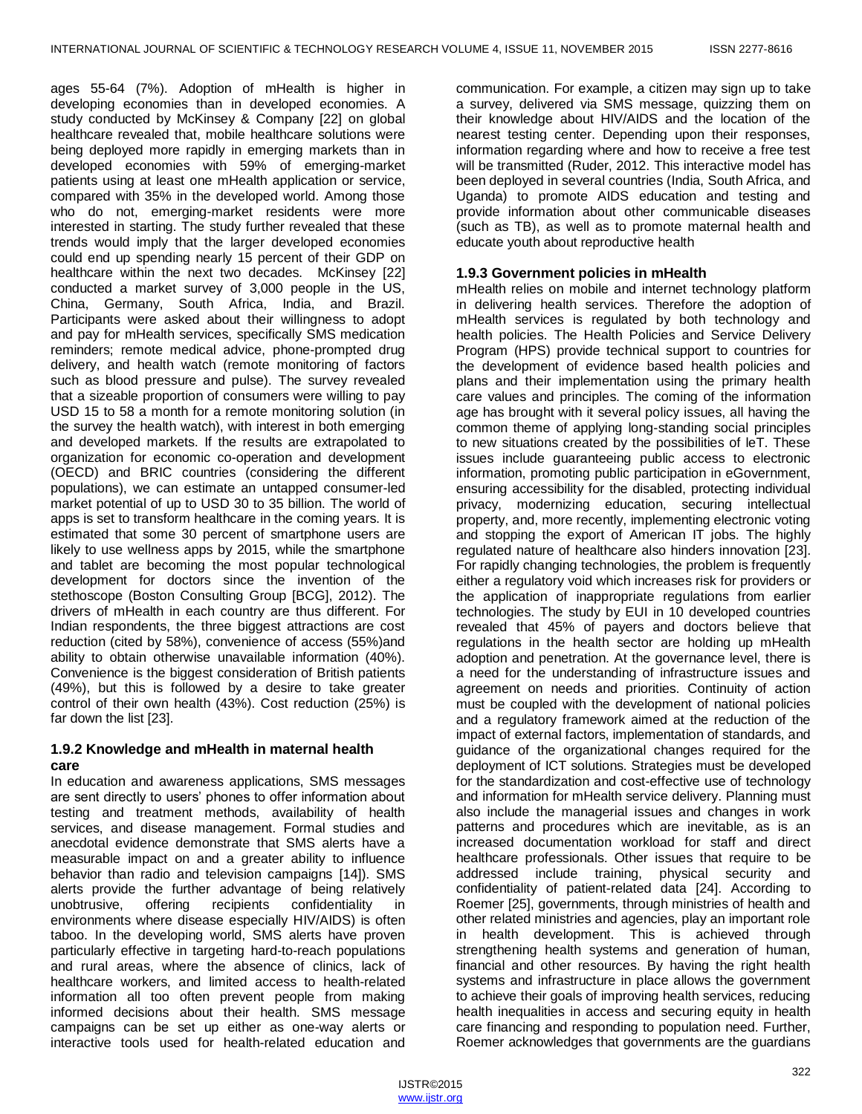ages 55-64 (7%). Adoption of mHealth is higher in developing economies than in developed economies. A study conducted by McKinsey & Company [22] on global healthcare revealed that, mobile healthcare solutions were being deployed more rapidly in emerging markets than in developed economies with 59% of emerging-market patients using at least one mHealth application or service, compared with 35% in the developed world. Among those who do not, emerging-market residents were more interested in starting. The study further revealed that these trends would imply that the larger developed economies could end up spending nearly 15 percent of their GDP on healthcare within the next two decades. McKinsey [22] conducted a market survey of 3,000 people in the US, China, Germany, South Africa, India, and Brazil. Participants were asked about their willingness to adopt and pay for mHealth services, specifically SMS medication reminders; remote medical advice, phone-prompted drug delivery, and health watch (remote monitoring of factors such as blood pressure and pulse). The survey revealed that a sizeable proportion of consumers were willing to pay USD 15 to 58 a month for a remote monitoring solution (in the survey the health watch), with interest in both emerging and developed markets. If the results are extrapolated to organization for economic co-operation and development (OECD) and BRIC countries (considering the different populations), we can estimate an untapped consumer-led market potential of up to USD 30 to 35 billion. The world of apps is set to transform healthcare in the coming years. It is estimated that some 30 percent of smartphone users are likely to use wellness apps by 2015, while the smartphone and tablet are becoming the most popular technological development for doctors since the invention of the stethoscope (Boston Consulting Group [BCG], 2012). The drivers of mHealth in each country are thus different. For Indian respondents, the three biggest attractions are cost reduction (cited by 58%), convenience of access (55%)and ability to obtain otherwise unavailable information (40%). Convenience is the biggest consideration of British patients (49%), but this is followed by a desire to take greater control of their own health (43%). Cost reduction (25%) is far down the list [23].

## **1.9.2 Knowledge and mHealth in maternal health care**

In education and awareness applications, SMS messages are sent directly to users' phones to offer information about testing and treatment methods, availability of health services, and disease management. Formal studies and anecdotal evidence demonstrate that SMS alerts have a measurable impact on and a greater ability to influence behavior than radio and television campaigns [14]). SMS alerts provide the further advantage of being relatively unobtrusive, offering recipients confidentiality in environments where disease especially HIV/AIDS) is often taboo. In the developing world, SMS alerts have proven particularly effective in targeting hard-to-reach populations and rural areas, where the absence of clinics, lack of healthcare workers, and limited access to health-related information all too often prevent people from making informed decisions about their health. SMS message campaigns can be set up either as one-way alerts or interactive tools used for health-related education and

communication. For example, a citizen may sign up to take a survey, delivered via SMS message, quizzing them on their knowledge about HIV/AIDS and the location of the nearest testing center. Depending upon their responses, information regarding where and how to receive a free test will be transmitted (Ruder, 2012. This interactive model has been deployed in several countries (India, South Africa, and Uganda) to promote AIDS education and testing and provide information about other communicable diseases (such as TB), as well as to promote maternal health and educate youth about reproductive health

## **1.9.3 Government policies in mHealth**

mHealth relies on mobile and internet technology platform in delivering health services. Therefore the adoption of mHealth services is regulated by both technology and health policies. The Health Policies and Service Delivery Program (HPS) provide technical support to countries for the development of evidence based health policies and plans and their implementation using the primary health care values and principles. The coming of the information age has brought with it several policy issues, all having the common theme of applying long-standing social principles to new situations created by the possibilities of leT. These issues include guaranteeing public access to electronic information, promoting public participation in eGovernment, ensuring accessibility for the disabled, protecting individual privacy, modernizing education, securing intellectual property, and, more recently, implementing electronic voting and stopping the export of American IT jobs. The highly regulated nature of healthcare also hinders innovation [23]. For rapidly changing technologies, the problem is frequently either a regulatory void which increases risk for providers or the application of inappropriate regulations from earlier technologies. The study by EUI in 10 developed countries revealed that 45% of payers and doctors believe that regulations in the health sector are holding up mHealth adoption and penetration. At the governance level, there is a need for the understanding of infrastructure issues and agreement on needs and priorities. Continuity of action must be coupled with the development of national policies and a regulatory framework aimed at the reduction of the impact of external factors, implementation of standards, and guidance of the organizational changes required for the deployment of ICT solutions. Strategies must be developed for the standardization and cost-effective use of technology and information for mHealth service delivery. Planning must also include the managerial issues and changes in work patterns and procedures which are inevitable, as is an increased documentation workload for staff and direct healthcare professionals. Other issues that require to be addressed include training, physical security and confidentiality of patient-related data [24]. According to Roemer [25], governments, through ministries of health and other related ministries and agencies, play an important role in health development. This is achieved through strengthening health systems and generation of human, financial and other resources. By having the right health systems and infrastructure in place allows the government to achieve their goals of improving health services, reducing health inequalities in access and securing equity in health care financing and responding to population need. Further, Roemer acknowledges that governments are the guardians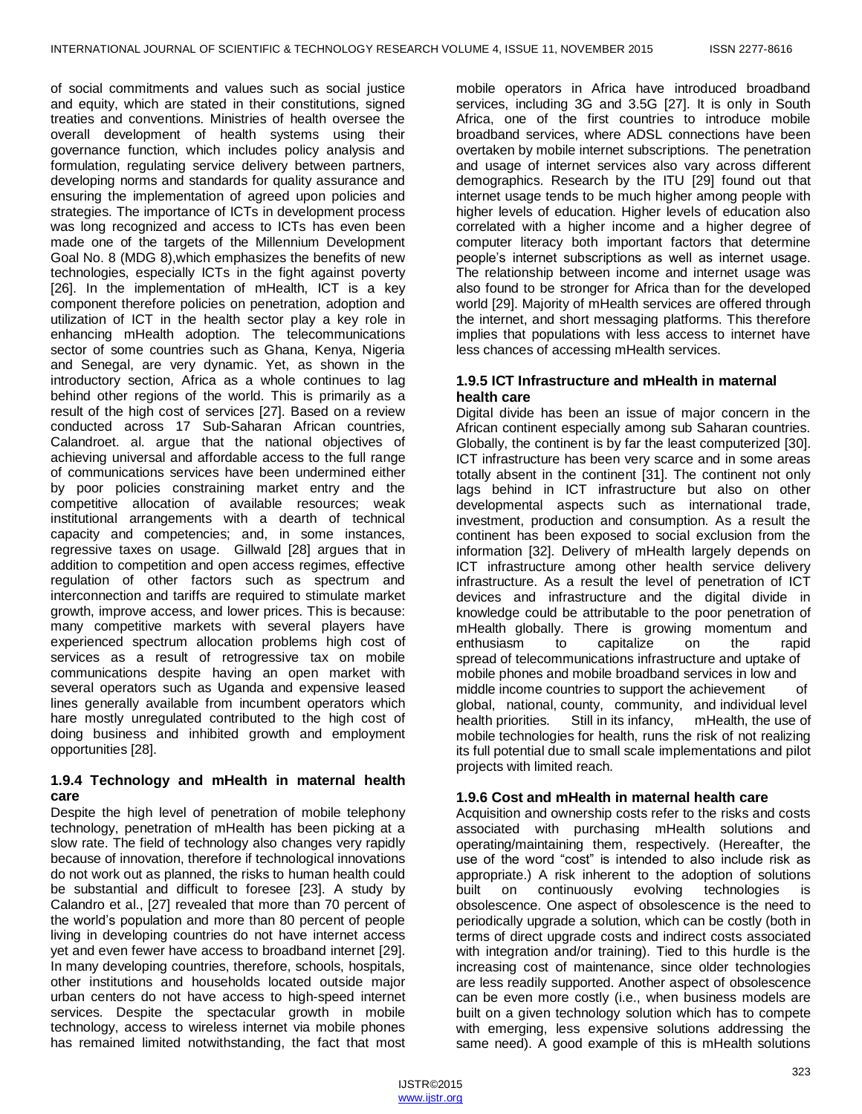of social commitments and values such as social justice and equity, which are stated in their constitutions, signed treaties and conventions. Ministries of health oversee the overall development of health systems using their governance function, which includes policy analysis and formulation, regulating service delivery between partners, developing norms and standards for quality assurance and ensuring the implementation of agreed upon policies and strategies. The importance of ICTs in development process was long recognized and access to ICTs has even been made one of the targets of the Millennium Development Goal No. 8 (MDG 8),which emphasizes the benefits of new technologies, especially ICTs in the fight against poverty [26]. In the implementation of mHealth, ICT is a key component therefore policies on penetration, adoption and utilization of ICT in the health sector play a key role in enhancing mHealth adoption. The telecommunications sector of some countries such as Ghana, Kenya, Nigeria and Senegal, are very dynamic. Yet, as shown in the introductory section, Africa as a whole continues to lag behind other regions of the world. This is primarily as a result of the high cost of services [27]. Based on a review conducted across 17 Sub-Saharan African countries, Calandroet. al. argue that the national objectives of achieving universal and affordable access to the full range of communications services have been undermined either by poor policies constraining market entry and the competitive allocation of available resources; weak institutional arrangements with a dearth of technical capacity and competencies; and, in some instances, regressive taxes on usage. Gillwald [28] argues that in addition to competition and open access regimes, effective regulation of other factors such as spectrum and interconnection and tariffs are required to stimulate market growth, improve access, and lower prices. This is because: many competitive markets with several players have experienced spectrum allocation problems high cost of services as a result of retrogressive tax on mobile communications despite having an open market with several operators such as Uganda and expensive leased lines generally available from incumbent operators which hare mostly unregulated contributed to the high cost of doing business and inhibited growth and employment opportunities [28].

## **1.9.4 Technology and mHealth in maternal health care**

Despite the high level of penetration of mobile telephony technology, penetration of mHealth has been picking at a slow rate. The field of technology also changes very rapidly because of innovation, therefore if technological innovations do not work out as planned, the risks to human health could be substantial and difficult to foresee [23]. A study by Calandro et al., [27] revealed that more than 70 percent of the world's population and more than 80 percent of people living in developing countries do not have internet access yet and even fewer have access to broadband internet [29]. In many developing countries, therefore, schools, hospitals, other institutions and households located outside major urban centers do not have access to high-speed internet services. Despite the spectacular growth in mobile technology, access to wireless internet via mobile phones has remained limited notwithstanding, the fact that most

mobile operators in Africa have introduced broadband services, including 3G and 3.5G [27]. It is only in South Africa, one of the first countries to introduce mobile broadband services, where ADSL connections have been overtaken by mobile internet subscriptions. The penetration and usage of internet services also vary across different demographics. Research by the ITU [29] found out that internet usage tends to be much higher among people with higher levels of education. Higher levels of education also correlated with a higher income and a higher degree of computer literacy both important factors that determine people's internet subscriptions as well as internet usage. The relationship between income and internet usage was also found to be stronger for Africa than for the developed world [29]. Majority of mHealth services are offered through the internet, and short messaging platforms. This therefore implies that populations with less access to internet have less chances of accessing mHealth services.

## **1.9.5 ICT Infrastructure and mHealth in maternal health care**

Digital divide has been an issue of major concern in the African continent especially among sub Saharan countries. Globally, the continent is by far the least computerized [30]. ICT infrastructure has been very scarce and in some areas totally absent in the continent [31]. The continent not only lags behind in ICT infrastructure but also on other developmental aspects such as international trade, investment, production and consumption. As a result the continent has been exposed to social exclusion from the information [32]. Delivery of mHealth largely depends on ICT infrastructure among other health service delivery infrastructure. As a result the level of penetration of ICT devices and infrastructure and the digital divide in knowledge could be attributable to the poor penetration of mHealth globally. There is growing momentum and enthusiasm to capitalize on the rapid spread of telecommunications infrastructure and uptake of mobile phones and mobile broadband services in low and middle income countries to support the achievement of global, national, county, community, and individual level health priorities. Still in its infancy, mHealth, the use of mobile technologies for health, runs the risk of not realizing its full potential due to small scale implementations and pilot projects with limited reach.

## **1.9.6 Cost and mHealth in maternal health care**

Acquisition and ownership costs refer to the risks and costs associated with purchasing mHealth solutions and operating/maintaining them, respectively. (Hereafter, the use of the word "cost" is intended to also include risk as appropriate.) A risk inherent to the adoption of solutions built on continuously evolving technologies is obsolescence. One aspect of obsolescence is the need to periodically upgrade a solution, which can be costly (both in terms of direct upgrade costs and indirect costs associated with integration and/or training). Tied to this hurdle is the increasing cost of maintenance, since older technologies are less readily supported. Another aspect of obsolescence can be even more costly (i.e., when business models are built on a given technology solution which has to compete with emerging, less expensive solutions addressing the same need). A good example of this is mHealth solutions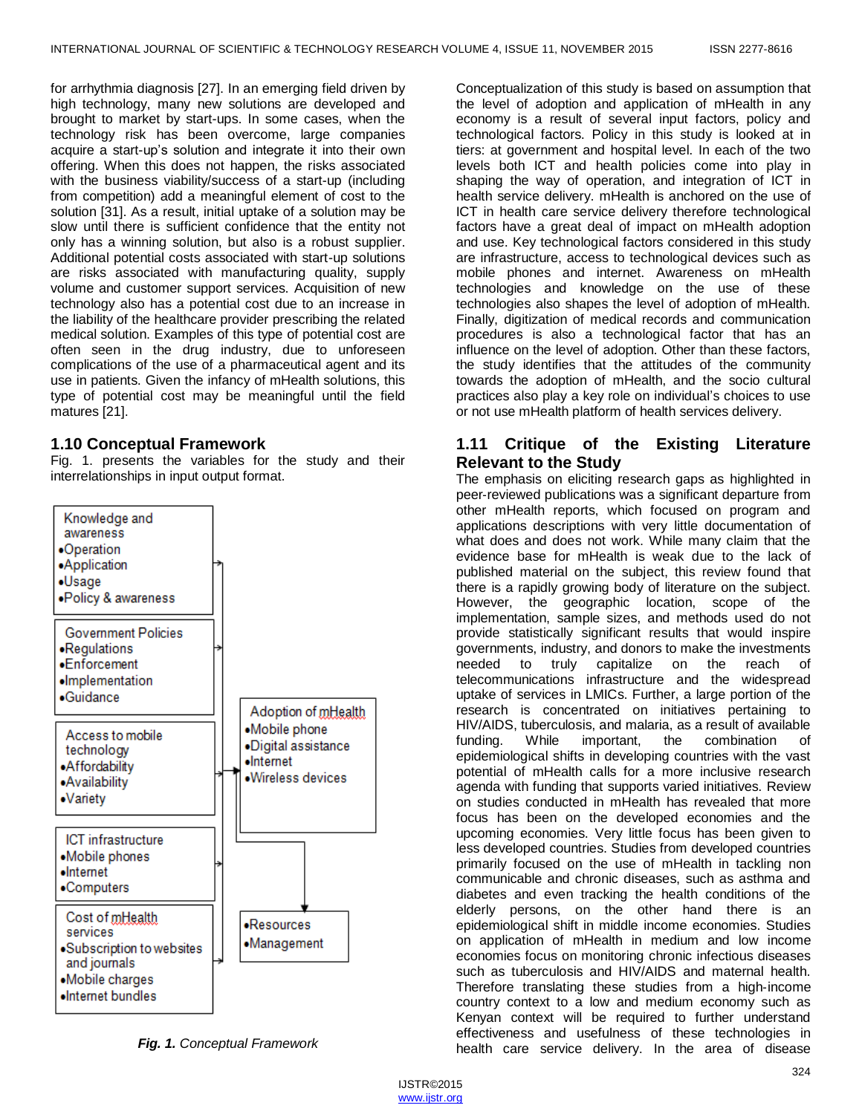for arrhythmia diagnosis [27]. In an emerging field driven by high technology, many new solutions are developed and brought to market by start-ups. In some cases, when the technology risk has been overcome, large companies acquire a start-up's solution and integrate it into their own offering. When this does not happen, the risks associated with the business viability/success of a start-up (including from competition) add a meaningful element of cost to the solution [31]. As a result, initial uptake of a solution may be slow until there is sufficient confidence that the entity not only has a winning solution, but also is a robust supplier. Additional potential costs associated with start-up solutions are risks associated with manufacturing quality, supply volume and customer support services. Acquisition of new technology also has a potential cost due to an increase in the liability of the healthcare provider prescribing the related medical solution. Examples of this type of potential cost are often seen in the drug industry, due to unforeseen complications of the use of a pharmaceutical agent and its use in patients. Given the infancy of mHealth solutions, this type of potential cost may be meaningful until the field matures [21].

## **1.10 Conceptual Framework**

Fig. 1. presents the variables for the study and their interrelationships in input output format.



*Fig. 1. Conceptual Framework*

Conceptualization of this study is based on assumption that the level of adoption and application of mHealth in any economy is a result of several input factors, policy and technological factors. Policy in this study is looked at in tiers: at government and hospital level. In each of the two levels both ICT and health policies come into play in shaping the way of operation, and integration of ICT in health service delivery. mHealth is anchored on the use of ICT in health care service delivery therefore technological factors have a great deal of impact on mHealth adoption and use. Key technological factors considered in this study are infrastructure, access to technological devices such as mobile phones and internet. Awareness on mHealth technologies and knowledge on the use of these technologies also shapes the level of adoption of mHealth. Finally, digitization of medical records and communication procedures is also a technological factor that has an influence on the level of adoption. Other than these factors, the study identifies that the attitudes of the community towards the adoption of mHealth, and the socio cultural practices also play a key role on individual's choices to use or not use mHealth platform of health services delivery.

## **1.11 Critique of the Existing Literature Relevant to the Study**

The emphasis on eliciting research gaps as highlighted in peer‐reviewed publications was a significant departure from other mHealth reports, which focused on program and applications descriptions with very little documentation of what does and does not work. While many claim that the evidence base for mHealth is weak due to the lack of published material on the subject, this review found that there is a rapidly growing body of literature on the subject. However, the geographic location, scope of the implementation, sample sizes, and methods used do not provide statistically significant results that would inspire governments, industry, and donors to make the investments needed to truly capitalize on the reach of telecommunications infrastructure and the widespread uptake of services in LMICs. Further, a large portion of the research is concentrated on initiatives pertaining to HIV/AIDS, tuberculosis, and malaria, as a result of available funding. While important, the combination of epidemiological shifts in developing countries with the vast potential of mHealth calls for a more inclusive research agenda with funding that supports varied initiatives. Review on studies conducted in mHealth has revealed that more focus has been on the developed economies and the upcoming economies. Very little focus has been given to less developed countries. Studies from developed countries primarily focused on the use of mHealth in tackling non communicable and chronic diseases, such as asthma and diabetes and even tracking the health conditions of the elderly persons, on the other hand there is an epidemiological shift in middle income economies. Studies on application of mHealth in medium and low income economies focus on monitoring chronic infectious diseases such as tuberculosis and HIV/AIDS and maternal health. Therefore translating these studies from a high‐income country context to a low and medium economy such as Kenyan context will be required to further understand effectiveness and usefulness of these technologies in health care service delivery. In the area of disease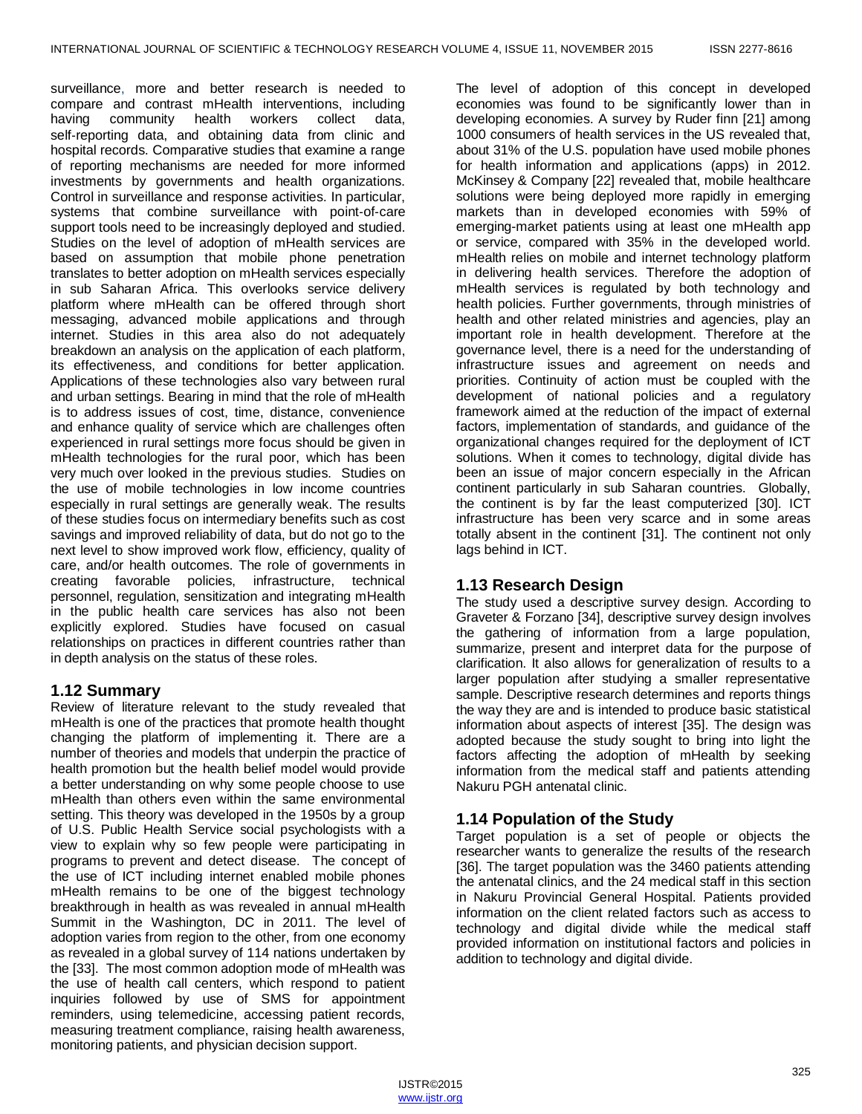surveillance, more and better research is needed to compare and contrast mHealth interventions, including having community health workers collect data, self-reporting data, and obtaining data from clinic and hospital records. Comparative studies that examine a range of reporting mechanisms are needed for more informed investments by governments and health organizations. Control in surveillance and response activities. In particular, systems that combine surveillance with point-of-care support tools need to be increasingly deployed and studied. Studies on the level of adoption of mHealth services are based on assumption that mobile phone penetration translates to better adoption on mHealth services especially in sub Saharan Africa. This overlooks service delivery platform where mHealth can be offered through short messaging, advanced mobile applications and through internet. Studies in this area also do not adequately breakdown an analysis on the application of each platform, its effectiveness, and conditions for better application. Applications of these technologies also vary between rural and urban settings. Bearing in mind that the role of mHealth is to address issues of cost, time, distance, convenience and enhance quality of service which are challenges often experienced in rural settings more focus should be given in mHealth technologies for the rural poor, which has been very much over looked in the previous studies. Studies on the use of mobile technologies in low income countries especially in rural settings are generally weak. The results of these studies focus on intermediary benefits such as cost savings and improved reliability of data, but do not go to the next level to show improved work flow, efficiency, quality of care, and/or health outcomes. The role of governments in creating favorable policies, infrastructure, technical personnel, regulation, sensitization and integrating mHealth in the public health care services has also not been explicitly explored. Studies have focused on casual relationships on practices in different countries rather than in depth analysis on the status of these roles.

## **1.12 Summary**

Review of literature relevant to the study revealed that mHealth is one of the practices that promote health thought changing the platform of implementing it. There are a number of theories and models that underpin the practice of health promotion but the health belief model would provide a better understanding on why some people choose to use mHealth than others even within the same environmental setting. This theory was developed in the 1950s by a group of U.S. Public Health Service social psychologists with a view to explain why so few people were participating in programs to prevent and detect disease. The concept of the use of ICT including internet enabled mobile phones mHealth remains to be one of the biggest technology breakthrough in health as was revealed in annual mHealth Summit in the Washington, DC in 2011. The level of adoption varies from region to the other, from one economy as revealed in a global survey of 114 nations undertaken by the [33]. The most common adoption mode of mHealth was the use of health call centers, which respond to patient inquiries followed by use of SMS for appointment reminders, using telemedicine, accessing patient records, measuring treatment compliance, raising health awareness, monitoring patients, and physician decision support.

The level of adoption of this concept in developed economies was found to be significantly lower than in developing economies. A survey by Ruder finn [21] among 1000 consumers of health services in the US revealed that, about 31% of the U.S. population have used mobile phones for health information and applications (apps) in 2012. McKinsey & Company [22] revealed that, mobile healthcare solutions were being deployed more rapidly in emerging markets than in developed economies with 59% of emerging-market patients using at least one mHealth app or service, compared with 35% in the developed world. mHealth relies on mobile and internet technology platform in delivering health services. Therefore the adoption of mHealth services is regulated by both technology and health policies. Further governments, through ministries of health and other related ministries and agencies, play an important role in health development. Therefore at the governance level, there is a need for the understanding of infrastructure issues and agreement on needs and priorities. Continuity of action must be coupled with the development of national policies and a regulatory framework aimed at the reduction of the impact of external factors, implementation of standards, and guidance of the organizational changes required for the deployment of ICT solutions. When it comes to technology, digital divide has been an issue of major concern especially in the African continent particularly in sub Saharan countries. Globally, the continent is by far the least computerized [30]. ICT infrastructure has been very scarce and in some areas totally absent in the continent [31]. The continent not only lags behind in ICT.

## **1.13 Research Design**

The study used a descriptive survey design. According to Graveter & Forzano [34], descriptive survey design involves the gathering of information from a large population, summarize, present and interpret data for the purpose of clarification. It also allows for generalization of results to a larger population after studying a smaller representative sample. Descriptive research determines and reports things the way they are and is intended to produce basic statistical information about aspects of interest [35]. The design was adopted because the study sought to bring into light the factors affecting the adoption of mHealth by seeking information from the medical staff and patients attending Nakuru PGH antenatal clinic.

# **1.14 Population of the Study**

Target population is a set of people or objects the researcher wants to generalize the results of the research [36]. The target population was the 3460 patients attending the antenatal clinics, and the 24 medical staff in this section in Nakuru Provincial General Hospital. Patients provided information on the client related factors such as access to technology and digital divide while the medical staff provided information on institutional factors and policies in addition to technology and digital divide.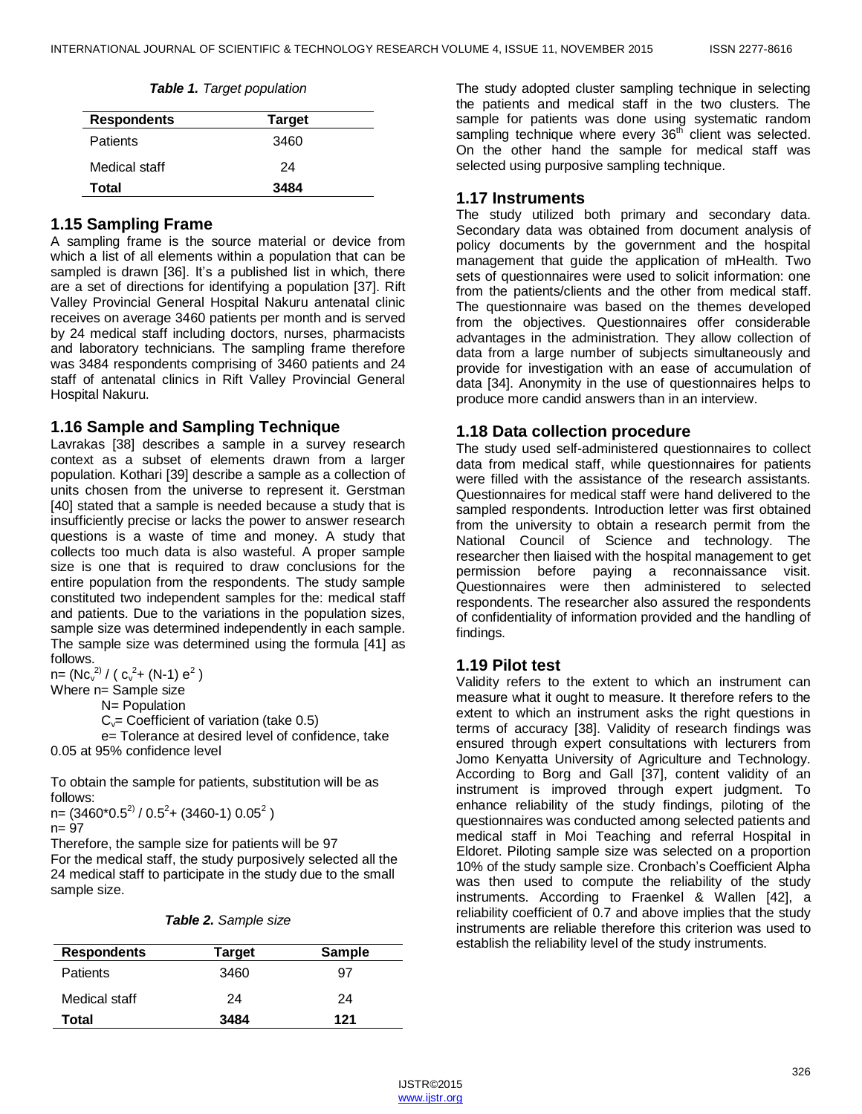| Table 1. Target population |  |  |
|----------------------------|--|--|
|----------------------------|--|--|

| <b>Respondents</b> | <b>Target</b> |  |
|--------------------|---------------|--|
| <b>Patients</b>    | 3460          |  |
| Medical staff      | 24            |  |
| <b>Total</b>       | 3484          |  |

## **1.15 Sampling Frame**

A sampling frame is the source material or device from which a list of all elements within a population that can be sampled is drawn [36]. It's a published list in which, there are a set of directions for identifying a population [37]. Rift Valley Provincial General Hospital Nakuru antenatal clinic receives on average 3460 patients per month and is served by 24 medical staff including doctors, nurses, pharmacists and laboratory technicians. The sampling frame therefore was 3484 respondents comprising of 3460 patients and 24 staff of antenatal clinics in Rift Valley Provincial General Hospital Nakuru.

#### **1.16 Sample and Sampling Technique**

Lavrakas [38] describes a sample in a survey research context as a subset of elements drawn from a larger population. Kothari [39] describe a sample as a collection of units chosen from the universe to represent it. Gerstman [40] stated that a sample is needed because a study that is insufficiently precise or lacks the power to answer research questions is a waste of time and money. A study that collects too much data is also wasteful. A proper sample size is one that is required to draw conclusions for the entire population from the respondents. The study sample constituted two independent samples for the: medical staff and patients. Due to the variations in the population sizes, sample size was determined independently in each sample. The sample size was determined using the formula [41] as follows.

n= (Nc $v^2$  / ( c $v^2$ + (N-1)  $e^2$  )

Where n= Sample size

N= Population

 $C_v$ = Coefficient of variation (take 0.5)

e= Tolerance at desired level of confidence, take 0.05 at 95% confidence level

To obtain the sample for patients, substitution will be as follows:

n= (3460\*0.5<sup>2)</sup> / 0.5<sup>2</sup>+ (3460-1) 0.05<sup>2</sup> ) n= 97

Therefore, the sample size for patients will be 97 For the medical staff, the study purposively selected all the 24 medical staff to participate in the study due to the small sample size.

|  |  |  |  | Table 2. Sample size |  |  |
|--|--|--|--|----------------------|--|--|
|--|--|--|--|----------------------|--|--|

| <b>Respondents</b> | Target | <b>Sample</b> |
|--------------------|--------|---------------|
| <b>Patients</b>    | 3460   | 97            |
| Medical staff      | 24     | 24            |
| Total              | 3484   | 121           |

The study adopted cluster sampling technique in selecting the patients and medical staff in the two clusters. The sample for patients was done using systematic random sampling technique where every  $36<sup>th</sup>$  client was selected. On the other hand the sample for medical staff was selected using purposive sampling technique.

#### **1.17 Instruments**

The study utilized both primary and secondary data. Secondary data was obtained from document analysis of policy documents by the government and the hospital management that guide the application of mHealth. Two sets of questionnaires were used to solicit information: one from the patients/clients and the other from medical staff. The questionnaire was based on the themes developed from the objectives. Questionnaires offer considerable advantages in the administration. They allow collection of data from a large number of subjects simultaneously and provide for investigation with an ease of accumulation of data [34]. Anonymity in the use of questionnaires helps to produce more candid answers than in an interview.

#### **1.18 Data collection procedure**

The study used self-administered questionnaires to collect data from medical staff, while questionnaires for patients were filled with the assistance of the research assistants. Questionnaires for medical staff were hand delivered to the sampled respondents. Introduction letter was first obtained from the university to obtain a research permit from the National Council of Science and technology. The researcher then liaised with the hospital management to get permission before paying a reconnaissance visit. Questionnaires were then administered to selected respondents. The researcher also assured the respondents of confidentiality of information provided and the handling of findings.

## **1.19 Pilot test**

Validity refers to the extent to which an instrument can measure what it ought to measure. It therefore refers to the extent to which an instrument asks the right questions in terms of accuracy [38]. Validity of research findings was ensured through expert consultations with lecturers from Jomo Kenyatta University of Agriculture and Technology. According to Borg and Gall [37], content validity of an instrument is improved through expert judgment. To enhance reliability of the study findings, piloting of the questionnaires was conducted among selected patients and medical staff in Moi Teaching and referral Hospital in Eldoret. Piloting sample size was selected on a proportion 10% of the study sample size. Cronbach's Coefficient Alpha was then used to compute the reliability of the study instruments. According to Fraenkel & Wallen [42], a reliability coefficient of 0.7 and above implies that the study instruments are reliable therefore this criterion was used to establish the reliability level of the study instruments.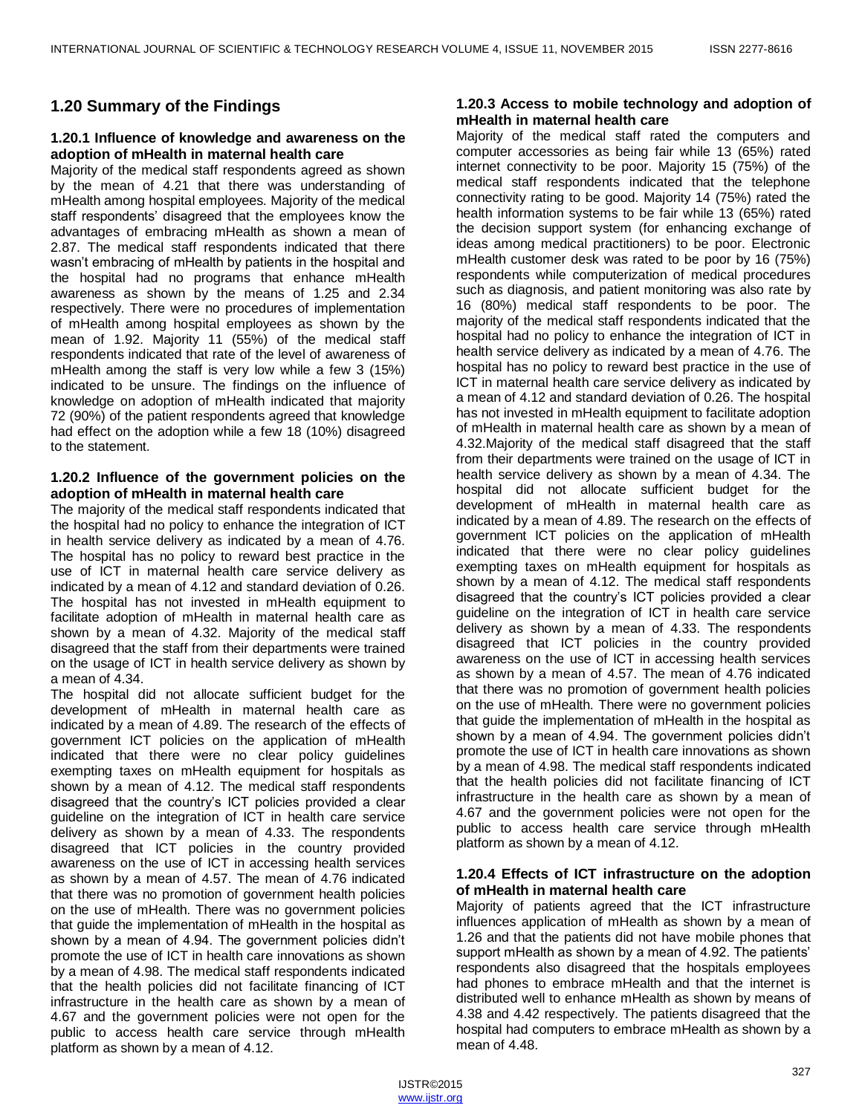# **1.20 Summary of the Findings**

## **1.20.1 Influence of knowledge and awareness on the adoption of mHealth in maternal health care**

Majority of the medical staff respondents agreed as shown by the mean of 4.21 that there was understanding of mHealth among hospital employees. Majority of the medical staff respondents' disagreed that the employees know the advantages of embracing mHealth as shown a mean of 2.87. The medical staff respondents indicated that there wasn't embracing of mHealth by patients in the hospital and the hospital had no programs that enhance mHealth awareness as shown by the means of 1.25 and 2.34 respectively. There were no procedures of implementation of mHealth among hospital employees as shown by the mean of 1.92. Majority 11 (55%) of the medical staff respondents indicated that rate of the level of awareness of mHealth among the staff is very low while a few 3 (15%) indicated to be unsure. The findings on the influence of knowledge on adoption of mHealth indicated that majority 72 (90%) of the patient respondents agreed that knowledge had effect on the adoption while a few 18 (10%) disagreed to the statement.

## **1.20.2 Influence of the government policies on the adoption of mHealth in maternal health care**

The majority of the medical staff respondents indicated that the hospital had no policy to enhance the integration of ICT in health service delivery as indicated by a mean of 4.76. The hospital has no policy to reward best practice in the use of ICT in maternal health care service delivery as indicated by a mean of 4.12 and standard deviation of 0.26. The hospital has not invested in mHealth equipment to facilitate adoption of mHealth in maternal health care as shown by a mean of 4.32. Majority of the medical staff disagreed that the staff from their departments were trained on the usage of ICT in health service delivery as shown by a mean of 4.34.

The hospital did not allocate sufficient budget for the development of mHealth in maternal health care as indicated by a mean of 4.89. The research of the effects of government ICT policies on the application of mHealth indicated that there were no clear policy guidelines exempting taxes on mHealth equipment for hospitals as shown by a mean of 4.12. The medical staff respondents disagreed that the country's ICT policies provided a clear guideline on the integration of ICT in health care service delivery as shown by a mean of 4.33. The respondents disagreed that ICT policies in the country provided awareness on the use of ICT in accessing health services as shown by a mean of 4.57. The mean of 4.76 indicated that there was no promotion of government health policies on the use of mHealth. There was no government policies that guide the implementation of mHealth in the hospital as shown by a mean of 4.94. The government policies didn't promote the use of ICT in health care innovations as shown by a mean of 4.98. The medical staff respondents indicated that the health policies did not facilitate financing of ICT infrastructure in the health care as shown by a mean of 4.67 and the government policies were not open for the public to access health care service through mHealth platform as shown by a mean of 4.12.

## **1.20.3 Access to mobile technology and adoption of mHealth in maternal health care**

Majority of the medical staff rated the computers and computer accessories as being fair while 13 (65%) rated internet connectivity to be poor. Majority 15 (75%) of the medical staff respondents indicated that the telephone connectivity rating to be good. Majority 14 (75%) rated the health information systems to be fair while 13 (65%) rated the decision support system (for enhancing exchange of ideas among medical practitioners) to be poor. Electronic mHealth customer desk was rated to be poor by 16 (75%) respondents while computerization of medical procedures such as diagnosis, and patient monitoring was also rate by 16 (80%) medical staff respondents to be poor. The majority of the medical staff respondents indicated that the hospital had no policy to enhance the integration of ICT in health service delivery as indicated by a mean of 4.76. The hospital has no policy to reward best practice in the use of ICT in maternal health care service delivery as indicated by a mean of 4.12 and standard deviation of 0.26. The hospital has not invested in mHealth equipment to facilitate adoption of mHealth in maternal health care as shown by a mean of 4.32.Majority of the medical staff disagreed that the staff from their departments were trained on the usage of ICT in health service delivery as shown by a mean of 4.34. The hospital did not allocate sufficient budget for the development of mHealth in maternal health care as indicated by a mean of 4.89. The research on the effects of government ICT policies on the application of mHealth indicated that there were no clear policy guidelines exempting taxes on mHealth equipment for hospitals as shown by a mean of 4.12. The medical staff respondents disagreed that the country's ICT policies provided a clear guideline on the integration of ICT in health care service delivery as shown by a mean of 4.33. The respondents disagreed that ICT policies in the country provided awareness on the use of ICT in accessing health services as shown by a mean of 4.57. The mean of 4.76 indicated that there was no promotion of government health policies on the use of mHealth. There were no government policies that guide the implementation of mHealth in the hospital as shown by a mean of 4.94. The government policies didn't promote the use of ICT in health care innovations as shown by a mean of 4.98. The medical staff respondents indicated that the health policies did not facilitate financing of ICT infrastructure in the health care as shown by a mean of 4.67 and the government policies were not open for the public to access health care service through mHealth platform as shown by a mean of 4.12.

## **1.20.4 Effects of ICT infrastructure on the adoption of mHealth in maternal health care**

Majority of patients agreed that the ICT infrastructure influences application of mHealth as shown by a mean of 1.26 and that the patients did not have mobile phones that support mHealth as shown by a mean of 4.92. The patients' respondents also disagreed that the hospitals employees had phones to embrace mHealth and that the internet is distributed well to enhance mHealth as shown by means of 4.38 and 4.42 respectively. The patients disagreed that the hospital had computers to embrace mHealth as shown by a mean of 4.48.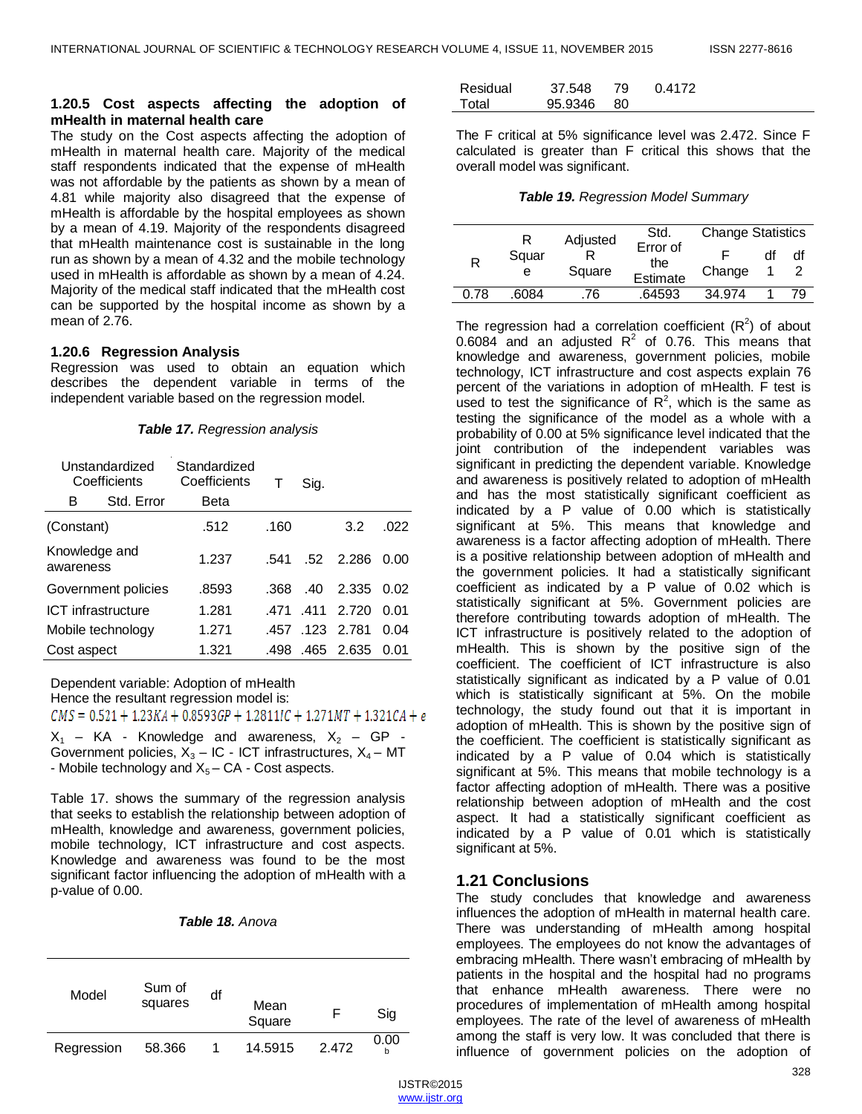#### **1.20.5 Cost aspects affecting the adoption of mHealth in maternal health care**

The study on the Cost aspects affecting the adoption of mHealth in maternal health care. Majority of the medical staff respondents indicated that the expense of mHealth was not affordable by the patients as shown by a mean of 4.81 while majority also disagreed that the expense of mHealth is affordable by the hospital employees as shown by a mean of 4.19. Majority of the respondents disagreed that mHealth maintenance cost is sustainable in the long run as shown by a mean of 4.32 and the mobile technology used in mHealth is affordable as shown by a mean of 4.24. Majority of the medical staff indicated that the mHealth cost can be supported by the hospital income as shown by a mean of 2.76.

#### **1.20.6 Regression Analysis**

Regression was used to obtain an equation which describes the dependent variable in terms of the independent variable based on the regression model.

| Unstandardized<br>Coefficients |                   | Standardized<br>Coefficients |      | Sig. |                   |      |
|--------------------------------|-------------------|------------------------------|------|------|-------------------|------|
| Std. Error<br>в                |                   | Beta                         |      |      |                   |      |
| (Constant)                     |                   | .512                         | .160 |      | 3.2               | .022 |
| Knowledge and<br>awareness     |                   | 1.237                        | 541  |      | $.52 \quad 2.286$ | 0.00 |
| Government policies            |                   | .8593                        | .368 | .40  | 2.335             | 0.02 |
| ICT infrastructure             |                   | 1.281                        | 471  | .411 | 2.720             | 0 01 |
|                                | Mobile technology | 1.271                        |      |      | 457 123 2.781     | 0.04 |
| Cost aspect                    |                   | 1.321                        | .498 |      | .465 2.635        | O 01 |

Dependent variable: Adoption of mHealth Hence the resultant regression model is:

 $CMS = 0.521 + 1.23KA + 0.8593GP + 1.2811IC + 1.271MT + 1.321CA + e$  $X_1$  – KA - Knowledge and awareness,  $X_2$  – GP -Government policies,  $X_3$  – IC - ICT infrastructures,  $X_4$  – MT - Mobile technology and  $X_5 - CA$  - Cost aspects.

Table 17. shows the summary of the regression analysis that seeks to establish the relationship between adoption of mHealth, knowledge and awareness, government policies, mobile technology, ICT infrastructure and cost aspects. Knowledge and awareness was found to be the most significant factor influencing the adoption of mHealth with a p-value of 0.00.

| <b>Table 18. Anova</b> |  |
|------------------------|--|
|------------------------|--|

| Model      | Sum of<br>squares | df | Mean<br>Square |       | Sig  |
|------------|-------------------|----|----------------|-------|------|
| Regression | 58.366            |    | 14.5915        | 2.472 | 0.00 |

| Residual | 37.548     | -79 | 0.4172 |
|----------|------------|-----|--------|
| Total    | 95.9346 80 |     |        |

The F critical at 5% significance level was 2.472. Since F calculated is greater than F critical this shows that the overall model was significant.

*Table 19. Regression Model Summary*

|      | R          | Adjusted | Std.                        | <b>Change Statistics</b> |    |
|------|------------|----------|-----------------------------|--------------------------|----|
| R    | Squar<br>е | Square   | Error of<br>the<br>Estimate | Change                   | df |
| በ 78 | 6084       | .76      | 64593                       | 34.974                   | 79 |

The regression had a correlation coefficient  $(R^2)$  of about 0.6084 and an adjusted  $R^2$  of 0.76. This means that knowledge and awareness, government policies, mobile technology, ICT infrastructure and cost aspects explain 76 percent of the variations in adoption of mHealth. F test is used to test the significance of  $R^2$ , which is the same as testing the significance of the model as a whole with a probability of 0.00 at 5% significance level indicated that the joint contribution of the independent variables was significant in predicting the dependent variable. Knowledge and awareness is positively related to adoption of mHealth and has the most statistically significant coefficient as indicated by a P value of 0.00 which is statistically significant at 5%. This means that knowledge and awareness is a factor affecting adoption of mHealth. There is a positive relationship between adoption of mHealth and the government policies. It had a statistically significant coefficient as indicated by a P value of 0.02 which is statistically significant at 5%. Government policies are therefore contributing towards adoption of mHealth. The ICT infrastructure is positively related to the adoption of mHealth. This is shown by the positive sign of the coefficient. The coefficient of ICT infrastructure is also statistically significant as indicated by a P value of 0.01 which is statistically significant at 5%. On the mobile technology, the study found out that it is important in adoption of mHealth. This is shown by the positive sign of the coefficient. The coefficient is statistically significant as indicated by a P value of 0.04 which is statistically significant at 5%. This means that mobile technology is a factor affecting adoption of mHealth. There was a positive relationship between adoption of mHealth and the cost aspect. It had a statistically significant coefficient as indicated by a P value of 0.01 which is statistically significant at 5%.

## **1.21 Conclusions**

The study concludes that knowledge and awareness influences the adoption of mHealth in maternal health care. There was understanding of mHealth among hospital employees. The employees do not know the advantages of embracing mHealth. There wasn't embracing of mHealth by patients in the hospital and the hospital had no programs that enhance mHealth awareness. There were no procedures of implementation of mHealth among hospital employees. The rate of the level of awareness of mHealth among the staff is very low. It was concluded that there is influence of government policies on the adoption of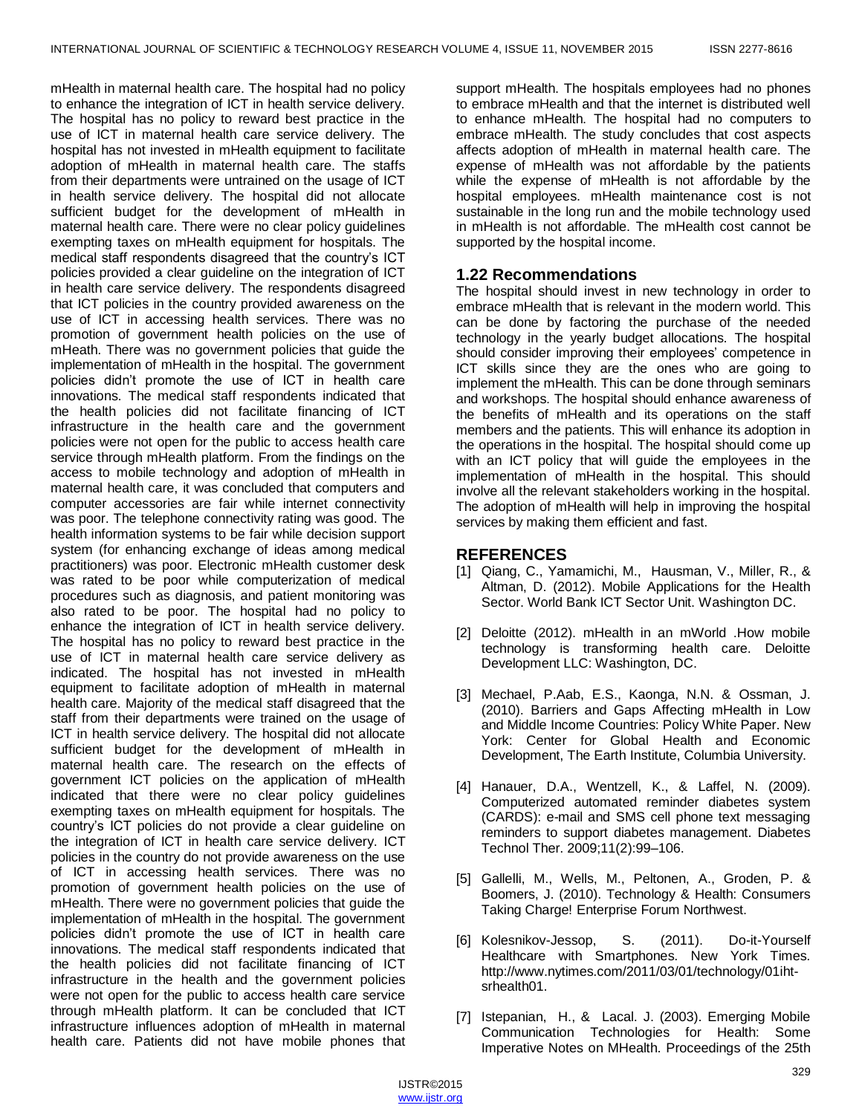mHealth in maternal health care. The hospital had no policy to enhance the integration of ICT in health service delivery. The hospital has no policy to reward best practice in the use of ICT in maternal health care service delivery. The hospital has not invested in mHealth equipment to facilitate adoption of mHealth in maternal health care. The staffs from their departments were untrained on the usage of ICT in health service delivery. The hospital did not allocate sufficient budget for the development of mHealth in maternal health care. There were no clear policy guidelines exempting taxes on mHealth equipment for hospitals. The medical staff respondents disagreed that the country's ICT policies provided a clear guideline on the integration of ICT in health care service delivery. The respondents disagreed that ICT policies in the country provided awareness on the use of ICT in accessing health services. There was no promotion of government health policies on the use of mHeath. There was no government policies that guide the implementation of mHealth in the hospital. The government policies didn't promote the use of ICT in health care innovations. The medical staff respondents indicated that the health policies did not facilitate financing of ICT infrastructure in the health care and the government policies were not open for the public to access health care service through mHealth platform. From the findings on the access to mobile technology and adoption of mHealth in maternal health care, it was concluded that computers and computer accessories are fair while internet connectivity was poor. The telephone connectivity rating was good. The health information systems to be fair while decision support system (for enhancing exchange of ideas among medical practitioners) was poor. Electronic mHealth customer desk was rated to be poor while computerization of medical procedures such as diagnosis, and patient monitoring was also rated to be poor. The hospital had no policy to enhance the integration of ICT in health service delivery. The hospital has no policy to reward best practice in the use of ICT in maternal health care service delivery as indicated. The hospital has not invested in mHealth equipment to facilitate adoption of mHealth in maternal health care. Majority of the medical staff disagreed that the staff from their departments were trained on the usage of ICT in health service delivery. The hospital did not allocate sufficient budget for the development of mHealth in maternal health care. The research on the effects of government ICT policies on the application of mHealth indicated that there were no clear policy guidelines exempting taxes on mHealth equipment for hospitals. The country's ICT policies do not provide a clear guideline on the integration of ICT in health care service delivery. ICT policies in the country do not provide awareness on the use of ICT in accessing health services. There was no promotion of government health policies on the use of mHealth. There were no government policies that guide the implementation of mHealth in the hospital. The government policies didn't promote the use of ICT in health care innovations. The medical staff respondents indicated that the health policies did not facilitate financing of ICT infrastructure in the health and the government policies were not open for the public to access health care service through mHealth platform. It can be concluded that ICT infrastructure influences adoption of mHealth in maternal health care. Patients did not have mobile phones that

support mHealth. The hospitals employees had no phones to embrace mHealth and that the internet is distributed well to enhance mHealth. The hospital had no computers to embrace mHealth. The study concludes that cost aspects affects adoption of mHealth in maternal health care. The expense of mHealth was not affordable by the patients while the expense of mHealth is not affordable by the hospital employees. mHealth maintenance cost is not sustainable in the long run and the mobile technology used in mHealth is not affordable. The mHealth cost cannot be supported by the hospital income.

## **1.22 Recommendations**

The hospital should invest in new technology in order to embrace mHealth that is relevant in the modern world. This can be done by factoring the purchase of the needed technology in the yearly budget allocations. The hospital should consider improving their employees' competence in ICT skills since they are the ones who are going to implement the mHealth. This can be done through seminars and workshops. The hospital should enhance awareness of the benefits of mHealth and its operations on the staff members and the patients. This will enhance its adoption in the operations in the hospital. The hospital should come up with an ICT policy that will guide the employees in the implementation of mHealth in the hospital. This should involve all the relevant stakeholders working in the hospital. The adoption of mHealth will help in improving the hospital services by making them efficient and fast.

## **REFERENCES**

- [1] Qiang, C., Yamamichi, M., Hausman, V., Miller, R., & Altman, D. (2012). Mobile Applications for the Health Sector. World Bank ICT Sector Unit. Washington DC.
- [2] Deloitte (2012). mHealth in an mWorld .How mobile technology is transforming health care. Deloitte Development LLC: Washington, DC.
- [3] Mechael, P.Aab, E.S., Kaonga, N.N. & Ossman, J. (2010). Barriers and Gaps Affecting mHealth in Low and Middle Income Countries: Policy White Paper. New York: Center for Global Health and Economic Development, The Earth Institute, Columbia University.
- [4] Hanauer, D.A., Wentzell, K., & Laffel, N. (2009). Computerized automated reminder diabetes system (CARDS): e-mail and SMS cell phone text messaging reminders to support diabetes management. Diabetes Technol Ther. 2009;11(2):99–106.
- [5] Gallelli, M., Wells, M., Peltonen, A., Groden, P. & Boomers, J. (2010). Technology & Health: Consumers Taking Charge! Enterprise Forum Northwest.
- [6] Kolesnikov-Jessop, S. (2011). Do-it-Yourself Healthcare with Smartphones. New York Times. [http://www.nytimes.com/2011/03/01/technology/01iht](http://www.nytimes.com/2011/03/01/technology/01iht-)srhealth01.
- [7] Istepanian, H., & Lacal. J. (2003). Emerging Mobile Communication Technologies for Health: Some Imperative Notes on MHealth. Proceedings of the 25th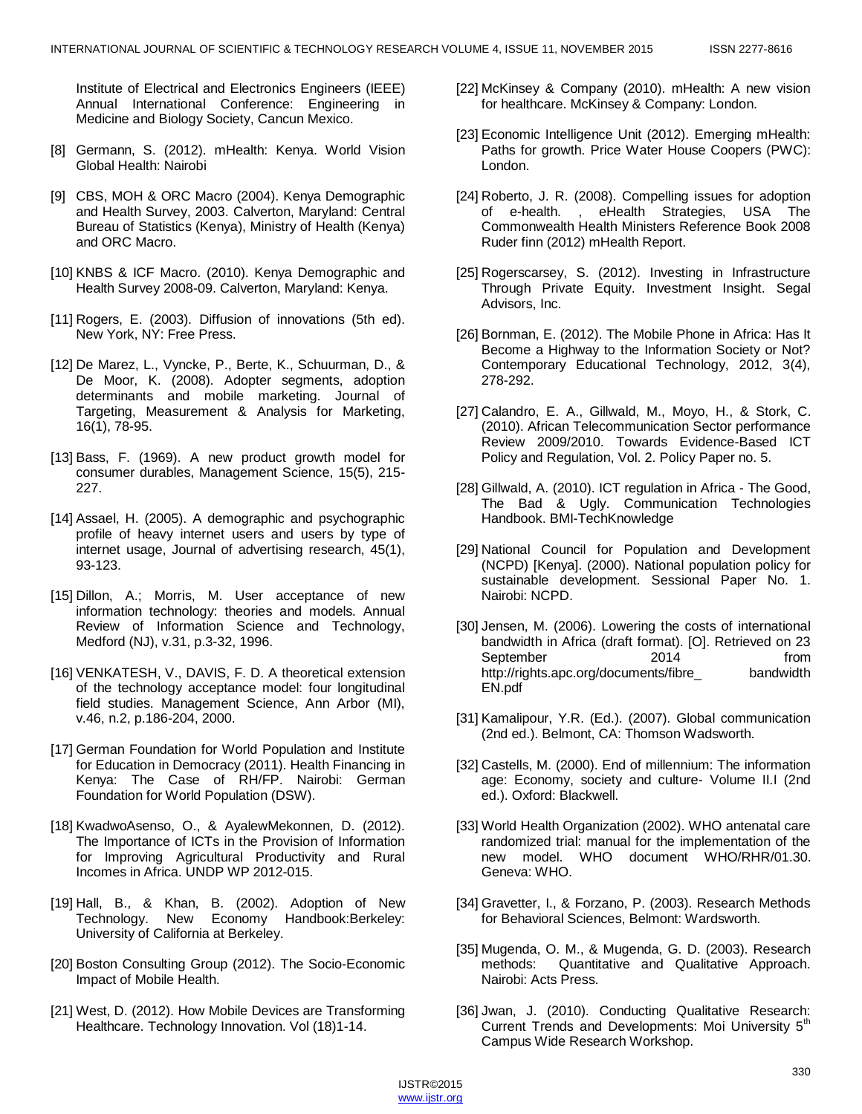Institute of Electrical and Electronics Engineers (IEEE) Annual International Conference: Engineering in Medicine and Biology Society, Cancun Mexico.

- [8] Germann, S. (2012). mHealth: Kenya. World Vision Global Health: Nairobi
- [9] CBS, MOH & ORC Macro (2004). Kenya Demographic and Health Survey, 2003. Calverton, Maryland: Central Bureau of Statistics (Kenya), Ministry of Health (Kenya) and ORC Macro.
- [10] KNBS & ICF Macro. (2010). Kenya Demographic and Health Survey 2008-09. Calverton, Maryland: Kenya.
- [11] Rogers, E. (2003). Diffusion of innovations (5th ed). New York, NY: Free Press.
- [12] De Marez, L., Vyncke, P., Berte, K., Schuurman, D., & De Moor, K. (2008). Adopter segments, adoption determinants and mobile marketing. Journal of Targeting, Measurement & Analysis for Marketing, 16(1), 78-95.
- [13] Bass, F. (1969). A new product growth model for consumer durables, Management Science, 15(5), 215- 227.
- [14] Assael, H. (2005). A demographic and psychographic profile of heavy internet users and users by type of internet usage, Journal of advertising research, 45(1), 93-123.
- [15] Dillon, A.; Morris, M. User acceptance of new information technology: theories and models. Annual Review of Information Science and Technology, Medford (NJ), v.31, p.3-32, 1996.
- [16] VENKATESH, V., DAVIS, F. D. A theoretical extension of the technology acceptance model: four longitudinal field studies. Management Science, Ann Arbor (MI), v.46, n.2, p.186-204, 2000.
- [17] German Foundation for World Population and Institute for Education in Democracy (2011). Health Financing in Kenya: The Case of RH/FP. Nairobi: German Foundation for World Population (DSW).
- [18] KwadwoAsenso, O., & AyalewMekonnen, D. (2012). The Importance of ICTs in the Provision of Information for Improving Agricultural Productivity and Rural Incomes in Africa. UNDP WP 2012-015.
- [19] Hall, B., & Khan, B. (2002). Adoption of New Technology. New Economy Handbook:Berkeley: University of California at Berkeley.
- [20] Boston Consulting Group (2012). The Socio-Economic Impact of Mobile Health.
- [21] West, D. (2012). How Mobile Devices are Transforming Healthcare. Technology Innovation. Vol (18)1-14.
- [22] McKinsey & Company (2010). mHealth: A new vision for healthcare. McKinsey & Company: London.
- [23] Economic Intelligence Unit (2012). Emerging mHealth: Paths for growth. Price Water House Coopers (PWC): London.
- [24] Roberto, J. R. (2008). Compelling issues for adoption of e-health. , eHealth Strategies, USA The Commonwealth Health Ministers Reference Book 2008 Ruder finn (2012) mHealth Report.
- [25] Rogerscarsey, S. (2012). Investing in Infrastructure Through Private Equity. Investment Insight. Segal Advisors, Inc.
- [26] Bornman, E. (2012). The Mobile Phone in Africa: Has It Become a Highway to the Information Society or Not? Contemporary Educational Technology, 2012, 3(4), 278-292.
- [27] Calandro, E. A., Gillwald, M., Moyo, H., & Stork, C. (2010). African Telecommunication Sector performance Review 2009/2010. Towards Evidence-Based ICT Policy and Regulation, Vol. 2. Policy Paper no. 5.
- [28] Gillwald, A. (2010). ICT regulation in Africa The Good, The Bad & Ugly. Communication Technologies Handbook. BMI-TechKnowledge
- [29] National Council for Population and Development (NCPD) [Kenya]. (2000). National population policy for sustainable development. Sessional Paper No. 1. Nairobi: NCPD.
- [30] Jensen, M. (2006). Lowering the costs of international bandwidth in Africa (draft format). [O]. Retrieved on 23 September 2014 from http://rights.apc.org/documents/fibre\_ bandwidth EN.pdf
- [31] Kamalipour, Y.R. (Ed.). (2007). Global communication (2nd ed.). Belmont, CA: Thomson Wadsworth.
- [32] Castells, M. (2000). End of millennium: The information age: Economy, society and culture- Volume II.I (2nd ed.). Oxford: Blackwell.
- [33] World Health Organization (2002). WHO antenatal care randomized trial: manual for the implementation of the new model. WHO document WHO/RHR/01.30. Geneva: WHO.
- [34] Gravetter, I., & Forzano, P. (2003). Research Methods for Behavioral Sciences, Belmont: Wardsworth.
- [35] Mugenda, O. M., & Mugenda, G. D. (2003). Research methods: Quantitative and Qualitative Approach. Nairobi: Acts Press.
- [36] Jwan, J. (2010). Conducting Qualitative Research: Current Trends and Developments: Moi University 5<sup>th</sup> Campus Wide Research Workshop.